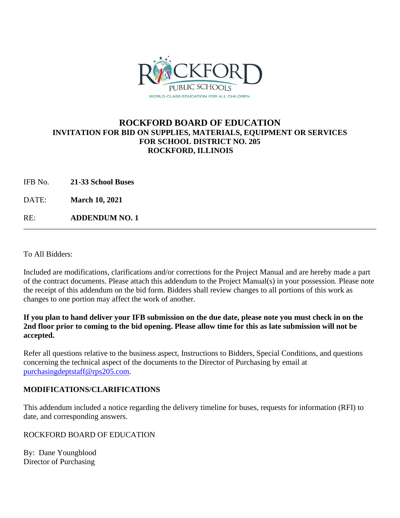

# **ROCKFORD BOARD OF EDUCATION INVITATION FOR BID ON SUPPLIES, MATERIALS, EQUIPMENT OR SERVICES FOR SCHOOL DISTRICT NO. 205 ROCKFORD, ILLINOIS**

IFB No. **21-33 School Buses**

DATE: **March 10, 2021**

RE: **ADDENDUM NO. 1**

To All Bidders:

Included are modifications, clarifications and/or corrections for the Project Manual and are hereby made a part of the contract documents. Please attach this addendum to the Project Manual(s) in your possession. Please note the receipt of this addendum on the bid form. Bidders shall review changes to all portions of this work as changes to one portion may affect the work of another.

### **If you plan to hand deliver your IFB submission on the due date, please note you must check in on the 2nd floor prior to coming to the bid opening. Please allow time for this as late submission will not be accepted.**

Refer all questions relative to the business aspect, Instructions to Bidders, Special Conditions, and questions concerning the technical aspect of the documents to the Director of Purchasing by email at [purchasingdeptstaff@rps205.com.](mailto:purchasingdeptstaff@rps205.com)

## **MODIFICATIONS/CLARIFICATIONS**

This addendum included a notice regarding the delivery timeline for buses, requests for information (RFI) to date, and corresponding answers.

#### ROCKFORD BOARD OF EDUCATION

By: Dane Youngblood Director of Purchasing